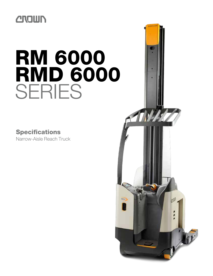# **CROWN**

# RM 6000 **RMD 6000** SERIES

## Specifications

Narrow-Aisle Reach Truck

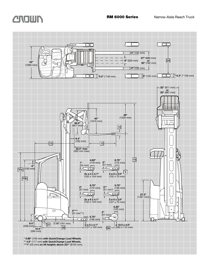

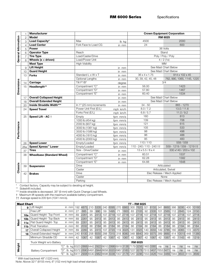RM 6000 Series Specifications

|                            |     | <b>Manufacturer</b>                                                                                                                                                                                                                                                                        |                          |          |                              | <b>Crown Equipment Corporation</b> |  |  |  |
|----------------------------|-----|--------------------------------------------------------------------------------------------------------------------------------------------------------------------------------------------------------------------------------------------------------------------------------------------|--------------------------|----------|------------------------------|------------------------------------|--|--|--|
|                            | 2   | <b>Model</b>                                                                                                                                                                                                                                                                               |                          |          |                              | <b>RM 6025</b>                     |  |  |  |
|                            | 3   | Load Capacity*                                                                                                                                                                                                                                                                             | Max                      | lb kg    | 4500                         | 2000                               |  |  |  |
| <b>General Information</b> | 4   | <b>Load Center</b>                                                                                                                                                                                                                                                                         | Fork Face to Load CG     | in mm    | 24                           | 600                                |  |  |  |
|                            | 5   | Power                                                                                                                                                                                                                                                                                      |                          |          |                              | 36 Volts                           |  |  |  |
|                            | 6   | <b>Operator Type</b>                                                                                                                                                                                                                                                                       | Reach                    |          | Stand                        |                                    |  |  |  |
|                            |     | <b>Tire Type</b>                                                                                                                                                                                                                                                                           | Load/Caster/Drive        |          |                              | Poly / Poly / Poly                 |  |  |  |
|                            | 8   | Wheels $(x = driven)$                                                                                                                                                                                                                                                                      | Load/Power Unit          |          | 4/2(1x)                      |                                    |  |  |  |
|                            |     | <b>Mast Type</b>                                                                                                                                                                                                                                                                           | <b>High Visibility</b>   |          |                              | <b>MM</b>                          |  |  |  |
|                            | 9   | <b>Lift Height</b>                                                                                                                                                                                                                                                                         |                          | in mm    |                              | See Mast Chart Below               |  |  |  |
|                            | 10  | <b>Guard Height</b>                                                                                                                                                                                                                                                                        |                          | in mm    |                              | See Mast Chart Below               |  |  |  |
|                            | 13  | <b>Forks</b>                                                                                                                                                                                                                                                                               | Standard L x W x T       | in mm    | 36 x 4 x 1.75                | 914 x 102 x 45                     |  |  |  |
|                            |     |                                                                                                                                                                                                                                                                                            | Optional Lengths         | in mm    | 30, 39, 42, 45, 48           | 762, 990, 1065, 1145, 1220         |  |  |  |
|                            | 14  | Carriage                                                                                                                                                                                                                                                                                   | Tilt F°/B°               | degree   |                              | 3/4                                |  |  |  |
| <b>Dimensions</b>          | 15  | Headlength**                                                                                                                                                                                                                                                                               | Compartment "C"          | in mm    | 56.00                        | 1423                               |  |  |  |
|                            |     |                                                                                                                                                                                                                                                                                            | Compartment "D"          | in mm    | 57.80                        | 1467                               |  |  |  |
|                            |     |                                                                                                                                                                                                                                                                                            | Compartment "E"          | in mm    | 60.40                        | 1534                               |  |  |  |
|                            | 17  | <b>Overall Collapsed Height</b>                                                                                                                                                                                                                                                            |                          | in mm    |                              | See Mast Chart Below               |  |  |  |
|                            | 18  | <b>Overall Extended Height</b>                                                                                                                                                                                                                                                             |                          | in mm    |                              | See Mast Chart Below               |  |  |  |
|                            | 20  | Inside Straddle Width***                                                                                                                                                                                                                                                                   | In 1" (25 mm) increments | in mm    | $34 - 50$                    | 865 - 1270                         |  |  |  |
|                            | 24  | <b>Speed Travel</b>                                                                                                                                                                                                                                                                        | Power Unit First (E/L)   | mph km/h | 8.0 / 7.2                    | 13.0 / 11.6                        |  |  |  |
|                            |     |                                                                                                                                                                                                                                                                                            | Forks First (E/L)        | mph km/h | 6.8 / 5.7                    | 11.0 / 9.2                         |  |  |  |
|                            | 25  | Speed Lift - AC +                                                                                                                                                                                                                                                                          | Empty                    | fpm mm/s | 160                          | 813                                |  |  |  |
|                            |     |                                                                                                                                                                                                                                                                                            | 1000 lb (454 kg)         | fpm mm/s | 139                          | 706                                |  |  |  |
| Performance                |     |                                                                                                                                                                                                                                                                                            | 2000 lb (907 kg)         | fpm mm/s | 121                          | 615                                |  |  |  |
|                            |     |                                                                                                                                                                                                                                                                                            | 3000 lb (1361 kg)        | fpm mm/s | 105                          | 533                                |  |  |  |
|                            |     |                                                                                                                                                                                                                                                                                            | 3500 lb (1586 kg)        | fpm mm/s | 98                           | 498                                |  |  |  |
|                            |     |                                                                                                                                                                                                                                                                                            | 4000 lb (1815 kg)        | fpm mm/s | 96                           | 488                                |  |  |  |
|                            |     |                                                                                                                                                                                                                                                                                            | 4500 lb (2000 kg)        | fpm mm/s | 95                           | 483                                |  |  |  |
|                            | 26  | <b>Speed Lower</b>                                                                                                                                                                                                                                                                         | Empty/Loaded             | fpm mm/s | 110/110                      | 559/559                            |  |  |  |
|                            | 26a | Speed Xpress™ Lower                                                                                                                                                                                                                                                                        | Empty/Loaded             | fpm mm/s | 110 - 240 / 110 - 240 † †    | 559 - 1219 / 559 - 1219 † †        |  |  |  |
|                            | 37  | <b>Tires</b>                                                                                                                                                                                                                                                                               | Size - Drive/Caster      | in mm    | $13 \times 5.5 / 8 \times 4$ | 330 x140 / 203 x 102               |  |  |  |
|                            | 38  | <b>Wheelbase (Standard Wheel)</b>                                                                                                                                                                                                                                                          | Compartment "C"          | in mm    | 60.51                        | 1537                               |  |  |  |
|                            |     |                                                                                                                                                                                                                                                                                            | Compartment "D"          | in mm    | 62.28                        | 1582                               |  |  |  |
|                            |     |                                                                                                                                                                                                                                                                                            | Compartment "E"          | in mm    | 64.88                        | 1648                               |  |  |  |
| Chassis                    | 39  | <b>Suspension</b>                                                                                                                                                                                                                                                                          | Drive                    |          |                              | Articulated                        |  |  |  |
|                            |     |                                                                                                                                                                                                                                                                                            | Caster                   |          |                              | Articulated, Swivel                |  |  |  |
|                            | 42  | <b>Brakes</b>                                                                                                                                                                                                                                                                              | <b>Drive</b>             |          |                              | Elec Release / Mech Applied        |  |  |  |
|                            |     |                                                                                                                                                                                                                                                                                            | Caster                   |          |                              | None                               |  |  |  |
|                            |     |                                                                                                                                                                                                                                                                                            | Parking                  |          |                              | Elec Release / Mech Applied        |  |  |  |
| $\star\star$               |     | Contact factory. Capacity may be subject to derating at height.<br>Sideshift included.<br>*** Inside straddle is decreased .35" (9 mm) with Quick Change Load Wheels.<br>† Maximum lift speeds with the maximum available battery compartment.<br>†† Average speed is 205 fpm (1041 mm/s). |                          |          |                              |                                    |  |  |  |

| <b>Mast Chart</b><br>TT – RM 6025 |     |                            |  |                |     |          |    |                                                                             |     |      |     |                   |     |          |     |          |     |          |     |                                                                                              |     |           |
|-----------------------------------|-----|----------------------------|--|----------------|-----|----------|----|-----------------------------------------------------------------------------|-----|------|-----|-------------------|-----|----------|-----|----------|-----|----------|-----|----------------------------------------------------------------------------------------------|-----|-----------|
|                                   | 9   | Lift Height                |  | in mm          |     | 192 4875 |    | 210 5335 240 6095                                                           |     |      |     | 270 6860 300 7620 |     |          | 321 | 8155     | 341 | 8660     |     | 366 9295                                                                                     |     | 400 10160 |
|                                   |     | Free Lift*                 |  | in mm          | 27  | 685      | 39 | 990                                                                         | 59  | 1495 |     | 1800              | 83  | 2105     | 92  | 2335     | 101 | 2565     | 12  | 2845                                                                                         | 124 | 3150      |
|                                   | 10a | Guard Height- Top Front    |  | in mm          | 89  | 2261     | 95 | 2413                                                                        | 107 | 2718 | 107 | 2718              |     | 107 2718 |     | 107 2718 | 107 | 2718     | 107 | 2718                                                                                         |     | 2718      |
|                                   | 10b | Guard Height- Top Back     |  | in mm          | 89  | 2261     | 95 | 2413                                                                        | 95  | 2413 | 95  | 2413              | 95  | 2413     |     | 95 2413  | 95  | 2413     | 95  | 2413                                                                                         | 95  | 2413      |
| <b>Mast</b>                       | 11a | Flat Guard Height-Top      |  | in mm          | 89  | 2261     | 95 | 2413                                                                        | 95  | 2413 | 95  | 2413              | 95  | 2413     |     | 95 2413  | 95  | 2413     | 95  | 2413                                                                                         | 95  | 2413      |
|                                   | 11b | Post Transition            |  | in mm          | 80  | 2032     | 86 | 2184                                                                        | 86  | 2184 | 86  | 2184              | 86  | 2184     | 86  | 2184     | 86  | 2184     | 86  | 2184                                                                                         | 86  | 2184      |
|                                   | 17  | Overall Collapsed Height   |  | in mm          | 89  | 2260     | 95 | 2415                                                                        | 107 | 2720 |     | 119 3025          | 131 | 3325     |     | 140 3555 |     | 149 3785 | 160 | 4065                                                                                         | 72  | 4370      |
|                                   | 18  | Overall Extended Height*   |  | in mm          | 240 | 6100     |    | 258 6555                                                                    | 288 |      |     | 7315 318 8080     |     | 348 8840 |     | 369 9375 | 389 | 9880     |     | 414 10515                                                                                    |     | 448 11380 |
|                                   |     | Minimum Straddle OD        |  | in mm          | 42  | 1067     | 42 | 1067                                                                        | 42  | 1067 | 42  | 1067              | 42  | 1067     | 42  | 1067     | 42  | 1067     | 45  | 1143                                                                                         | 48  | 1219      |
|                                   |     | Truck Weight w/o Battery   |  | <b>RM 6025</b> |     |          |    |                                                                             |     |      |     |                   |     |          |     |          |     |          |     |                                                                                              |     |           |
|                                   |     |                            |  |                |     |          |    | lb kg 6323 2868 6442 2922 6610 2998 6918 3138 7179 3256 7463 3385           |     |      |     |                   |     |          |     |          | na  | na       | na  | na                                                                                           | na  | na        |
| Weight                            |     | <b>Battery Compartment</b> |  |                |     |          |    | lb kg 6372 2890 6491 2944 6658 3020 6967 3160 7227 3278 7512 3407 7653 3471 |     |      |     |                   |     |          |     |          |     |          | na  | na                                                                                           | na  | na        |
|                                   |     |                            |  | Ib             |     |          |    |                                                                             |     |      |     |                   |     |          |     |          |     |          |     | kg 6411 2908 6530 2962 6698 3038 7007 3178 7267 3296 7553 3426 7692 3489 7944 3603 8155 3699 |     |           |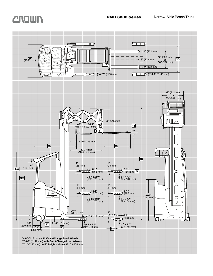

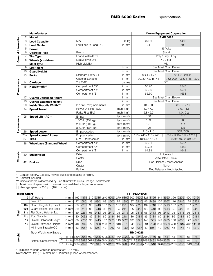|                            |                           | <b>Manufacturer</b>                                                                                                                                                                                                                                                                         |                          |          |                              | <b>Crown Equipment Corporation</b> |  |  |  |
|----------------------------|---------------------------|---------------------------------------------------------------------------------------------------------------------------------------------------------------------------------------------------------------------------------------------------------------------------------------------|--------------------------|----------|------------------------------|------------------------------------|--|--|--|
|                            | $\mathbf{2}$              | <b>Model</b>                                                                                                                                                                                                                                                                                |                          |          |                              | <b>RMD 6025</b>                    |  |  |  |
| <b>General Information</b> | 3                         | Load Capacity*                                                                                                                                                                                                                                                                              | Max                      | lb kg    | 3200                         | 1450                               |  |  |  |
|                            | 4                         | <b>Load Center</b>                                                                                                                                                                                                                                                                          | Fork Face to Load CG     | in mm    | 24                           | 600                                |  |  |  |
|                            | 5                         | Power                                                                                                                                                                                                                                                                                       |                          |          |                              | 36 Volts                           |  |  |  |
|                            | 6                         | <b>Operator Type</b>                                                                                                                                                                                                                                                                        | Reach                    |          |                              | Stand                              |  |  |  |
|                            |                           | <b>Tire Type</b>                                                                                                                                                                                                                                                                            | Load/Caster/Drive        |          | Poly / Poly / Poly           |                                    |  |  |  |
|                            | 8                         | Wheels $(x =$ driven)                                                                                                                                                                                                                                                                       | Load/Power Unit          |          | 4/2(1x)                      |                                    |  |  |  |
|                            |                           | <b>Mast Type</b>                                                                                                                                                                                                                                                                            | <b>High Visibility</b>   |          |                              | <b>MM</b>                          |  |  |  |
|                            | 9                         | <b>Lift Height</b>                                                                                                                                                                                                                                                                          |                          | in mm    |                              | See Mast Chart Below               |  |  |  |
|                            | 10                        | <b>Guard Height</b>                                                                                                                                                                                                                                                                         |                          | in mm    |                              | See Mast Chart Below               |  |  |  |
|                            | 13                        | <b>Forks</b>                                                                                                                                                                                                                                                                                | Standard L x W x T       | in mm    | $36 \times 4 \times 1.75$    | 914 x102 x 45                      |  |  |  |
|                            |                           |                                                                                                                                                                                                                                                                                             | Optional Lengths         | in mm    | 30, 39, 42, 45, 48           | 762, 990, 1065, 1145, 1220         |  |  |  |
| <b>Dimensions</b>          | 14                        | Carriage                                                                                                                                                                                                                                                                                    | Tilt F°/B°               | degree   |                              | 3/4                                |  |  |  |
|                            | 15                        | Headlength**                                                                                                                                                                                                                                                                                | Compartment "C"          | in mm    | 60.90                        | 1547                               |  |  |  |
|                            |                           |                                                                                                                                                                                                                                                                                             | Compartment "D"          | in mm    | 62.60                        | 1591                               |  |  |  |
|                            |                           |                                                                                                                                                                                                                                                                                             | Compartment "E"          | in mm    | 65.30                        | 1658                               |  |  |  |
|                            | 17                        | <b>Overall Collapsed Height</b>                                                                                                                                                                                                                                                             |                          | in mm    |                              | See Mast Chart Below               |  |  |  |
|                            | 18                        | <b>Overall Extended Height</b>                                                                                                                                                                                                                                                              |                          | in mm    |                              | See Mast Chart Below               |  |  |  |
|                            | 20                        | Inside Straddle Width***                                                                                                                                                                                                                                                                    | In 1" (25 mm) increments | in mm    | $34 - 50$                    | 865 - 1270                         |  |  |  |
|                            | 24<br><b>Speed Travel</b> |                                                                                                                                                                                                                                                                                             | Power Unit First (E/L)   | mph km/h | 8.0 / 7.2                    | 13.0 / 11.6                        |  |  |  |
|                            |                           |                                                                                                                                                                                                                                                                                             | Forks First (E/L)        | mph km/h | 6.8 / 5.7                    | 11.0 / 9.2                         |  |  |  |
|                            | 25                        | Speed Lift - AC +                                                                                                                                                                                                                                                                           | Empty                    | fpm mm/s | 160                          | 813                                |  |  |  |
|                            |                           |                                                                                                                                                                                                                                                                                             | 1000 lb (454 kg)         | fpm mm/s | 139                          | 706                                |  |  |  |
|                            |                           |                                                                                                                                                                                                                                                                                             | 2000 lb (907 kg)         | fpm mm/s | 121                          | 615                                |  |  |  |
| Performance                |                           |                                                                                                                                                                                                                                                                                             | 3000 lb (1361 kg)        | fpm mm/s | 105                          | 533                                |  |  |  |
|                            | 26                        | <b>Speed Lower</b>                                                                                                                                                                                                                                                                          | Empty/Loaded             | fpm mm/s | 110/110                      | 559 / 559                          |  |  |  |
|                            | 26a                       | Speed Xpress™ Lower                                                                                                                                                                                                                                                                         | Empty/Loaded             | fpm mm/s | 110 - 240 / 110 - 240 † †    | 559 - 1219 / 559 - 1219 † †        |  |  |  |
|                            | 37                        | <b>Tires</b>                                                                                                                                                                                                                                                                                | Size - Drive/Caster      | in mm    | $13 \times 5.5 / 8 \times 4$ | 330 x 140 / 203 x 102              |  |  |  |
|                            | 38                        | <b>Wheelbase (Standard Wheel)</b>                                                                                                                                                                                                                                                           | Compartment "C"          | in mm    | 60.51                        | 1537                               |  |  |  |
|                            |                           |                                                                                                                                                                                                                                                                                             | Compartment "D"          | in mm    | 62.28                        | 1582                               |  |  |  |
|                            |                           |                                                                                                                                                                                                                                                                                             | Compartment "E"          | in mm    | 64.88                        | 1648                               |  |  |  |
| Chassis                    | 39                        | <b>Suspension</b>                                                                                                                                                                                                                                                                           | <b>Drive</b>             |          |                              | Articulated                        |  |  |  |
|                            |                           |                                                                                                                                                                                                                                                                                             | Caster                   |          |                              | Articulated, Swivel                |  |  |  |
|                            | 42                        | <b>Brakes</b>                                                                                                                                                                                                                                                                               | <b>Drive</b>             |          |                              | Elec Release / Mech Applied        |  |  |  |
|                            |                           |                                                                                                                                                                                                                                                                                             | Caster                   |          |                              | None                               |  |  |  |
|                            |                           |                                                                                                                                                                                                                                                                                             | Parking                  |          |                              | Elec Release / Mech Applied        |  |  |  |
| $\star\star$<br>$^+$       |                           | Contact factory. Capacity may be subject to derating at height.<br>Sideshift included.<br>*** Inside straddle is decreased by .35" (9 mm) with Quick Change Load Wheels.<br>Maximum lift speeds with the maximum available battery compartment.<br>†† Average speed is 205 fpm (1041 mm/s). |                          |          |                              |                                    |  |  |  |

| <b>Mast Chart</b> |                 |                            |     |                                                                                       |    | <b>TT-RMD 6025</b> |    |                   |    |          |    |                                                  |    |      |    |          |    |              |     |      |     |                     |
|-------------------|-----------------|----------------------------|-----|---------------------------------------------------------------------------------------|----|--------------------|----|-------------------|----|----------|----|--------------------------------------------------|----|------|----|----------|----|--------------|-----|------|-----|---------------------|
|                   | 9               | Lift Height                |     | in mm                                                                                 |    | 192 4875           |    | 210 5335          |    |          |    | 240 6095 270 6860 300 7620 321 8155 341          |    |      |    |          |    | 8660         | 366 | 9295 |     | 400 10160           |
|                   |                 | Free Lift*                 |     | in mm                                                                                 | 27 | 685                | 39 | 990               | 63 | 1600     | 75 | 1905                                             | 87 | 2210 |    | 96 2438  |    | 105 2667     | 116 | 2946 |     | 128 3251            |
|                   | 10a             | Guard Height- Top Front    |     | in mm                                                                                 | 89 | 2261               | 95 | 2413              |    | 107 2718 |    | 107 2718 107 2718                                |    |      |    | 107 2718 |    | 107 2718 107 |     | 2718 | 107 | 2718                |
|                   | 10b             | Guard Height- Top Back     |     | in mm                                                                                 | 89 | 2261               | 95 | 2413              | 95 | 2413     | 95 | 2413                                             | 95 | 2413 |    | 95 2413  | 95 | 2413         | 95  | 2413 | 95  | 2413                |
| Mast              | 11a             | Flat Guard Height-Top      |     | in mm                                                                                 | 89 | 2261               | 95 | 2413              | 95 | 2413     | 95 | 2413                                             | 95 | 2413 |    | 95 2413  | 95 | 2413         | 95  | 2413 | 95  | 2413                |
|                   | 11 <sub>b</sub> | Post Transition            |     | in mm                                                                                 | 80 | 2032               | 86 | 2184              | 86 | 2184     | 86 | 2184                                             | 86 | 2184 |    | 86 2184  | 86 | 2184         | 86  | 2184 | 86  | 2184                |
|                   | 17              | Overall Collapsed Height   |     | in mm                                                                                 | 89 | 2260               | 95 | 2415              |    | 107 2720 |    | 119 3025 131 3325                                |    |      |    | 140 3555 |    | 149 3785     | 160 | 4065 |     | 172 4370            |
|                   | 18              | Overall Extended Height*   |     | in mm                                                                                 |    |                    |    | 234 5945 250 6350 |    |          |    | 280 7115  310 7875  340 8640  361 9170  381 9680 |    |      |    |          |    |              |     |      |     | 406 10315 440 11180 |
|                   |                 | Minimum Straddle OD        |     | in mm                                                                                 | 42 | 1067               |    | 42 1067           | 42 | 1067     | 42 | 1067                                             | 42 | 1067 | 42 | 1067     | 42 | 1067         | 45  | 1143 | 48  | 1219                |
|                   |                 | Truck Weight w/o Battery   |     | <b>RMD 6025</b>                                                                       |    |                    |    |                   |    |          |    |                                                  |    |      |    |          |    |              |     |      |     |                     |
|                   |                 |                            | "C" | lb kg 6508 2952 6627 3006 6795 3082 7104 3222 7364 3340 7650 3470                     |    |                    |    |                   |    |          |    |                                                  |    |      |    |          | na | na           | na  | na   | na  | na                  |
| Weight            |                 | <b>Battery Compartment</b> | "D" | lb kg 6559 2975 6678 3029 6844 3104 7154 3245 7412 3362 7699 3492 7838 3555           |    |                    |    |                   |    |          |    |                                                  |    |      |    |          |    |              | na  | na   | na  | na                  |
|                   |                 |                            | "F" | lb kg 6599 2993 6718 3047 6885 3123 7194 3263 7454 3381 7739 3510 7878 3573 8129 3687 |    |                    |    |                   |    |          |    |                                                  |    |      |    |          |    |              |     |      |     | 8343 3784           |

\* To reach carriage with load backrest 36" (915 mm).

Note: Above 321" (8155 mm), 6" (152 mm) high load wheel standard.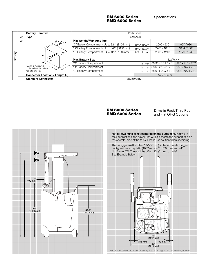RM 6000 Series RMD 6000 Series Specifications

|         |    | <b>Battery Removal</b>                                  |                                                   | <b>Both Sides</b> |                                                  |             |  |  |  |  |
|---------|----|---------------------------------------------------------|---------------------------------------------------|-------------------|--------------------------------------------------|-------------|--|--|--|--|
|         | 45 | <b>Type</b>                                             |                                                   | Lead Acid         |                                                  |             |  |  |  |  |
|         | 46 | ∞ ∆                                                     | Min Weight/Max Amp-hrs                            |                   |                                                  |             |  |  |  |  |
|         |    |                                                         | "C" Battery Compartment- Up to 321" (8155 mm)     | lb/Ah kg/Ah       | 2000/930                                         | 907/930     |  |  |  |  |
|         |    |                                                         | "D" Battery Compartment- Up to 341" (8660 mm)     | lb/Ah kg/Ah       | 2280/1085                                        | 1034 / 1085 |  |  |  |  |
|         |    |                                                         | "E" Battery Compartment $- \leq 400$ " (10160 mm) | lb/Ah kg/Ah       | 2600 / 1240                                      | 1179/1240   |  |  |  |  |
| Battery |    | н                                                       |                                                   |                   |                                                  |             |  |  |  |  |
|         |    |                                                         | <b>Max Battery Size</b>                           |                   | LxWxH                                            |             |  |  |  |  |
|         |    | * Width is measured<br>w.<br>on the side of the battery | "C" Battery Compartment                           | in mm             | $ 38.38 \times 16.25 \times 31 $ 975 x 413 x 787 |             |  |  |  |  |
|         |    |                                                         | "D" Battery Compartment                           | in mm             | 38.69 x 18.00 x 31 983 x 457 x 787               |             |  |  |  |  |
|         |    | with lifting hooks                                      | "E" Battery Compartment                           |                   | in mm 38.69 x 20.75 x 31 983 x 527 x 787         |             |  |  |  |  |
|         |    | Connector Location / Length (J)                         | A/9"                                              | $A/229$ mm        |                                                  |             |  |  |  |  |
|         |    | <b>Standard Connector</b>                               | SB350 Grav                                        |                   |                                                  |             |  |  |  |  |

#### RM 6000 Series RMD 6000 Series

Drive-in Rack Third Post and Flat OHG Options



Note: Power unit is not centered on the outriggers. In drive-in rack applications, the power unit will sit closer to the support rails on the operator side of the truck. Please use caution when specifying. The outriggers will be offset 1.5" (38 mm) to the left on all outrigger

configurations except 42" (1067 mm), 43" (1092 mm) and 44" (1118 mm) OD. These will be offset .25" (6 mm) to the left. See Example Below:

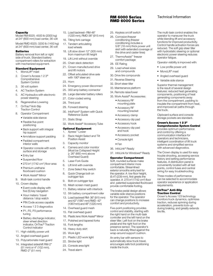#### **Capacity**

Model RM 6025: 4500 lb (2000 kg) at 24" (600 mm) load center, 36 volt

Model RMD 6025: 3200 lb (1450 kg) at 24" (600 mm) load center, 36 volt

#### **Batteries**

Battery removal from left or right side of truck. Standard battery compartment rollers for extraction with mechanized equipment.

#### Standard Equipment

- 1. MonoLift<sup>®</sup> mast
- 2. Crown's Access 1 2 3® **Comprehensive** System Control
- 3. 36 volt system
- 4. AC Traction System
- 5. AC Hydraulics with electronic power steering
- 6. Regenerative Lowering
- 7. OnTrac® Anti-Slip Traction Control
- 8. Operator Compartment
	- Variable side stance
	- Flexible five-point positioning
	- Back support with integral hip support
	- Arm/elbow support padding
	- Padded compartment interior walls
	- Operator console with work surface and storage
	- Entry bar
	- Suspended floor
- $\bullet$  270 in<sup>2</sup> (1742 cm<sup>2</sup>) floor area
	- Premium urethane floorboard cushion
	- Work Assist® Mirror
- 9. Multi-task control handle
- 10. Crown display
	- Event code display with five (5) key navigation
	- Hour meters / travel distance / stop watch
	- PIN Code access capable
	- Access 1 2 3 diagnostics
	- P1, P2, P3 performance tuning
	- Battery discharge indicator, steer wheel direction indicator, OnTrac® Traction Control indicator
- 11. High visibility power unit
- 12. Angled overhead guard
- 13. Polycarbonate mast guard
- 14. Integrated sideshift RM-2" (51 mm) or 4" (102 mm), RMD-2" (51 mm)
- 15. Load backrest– RM-48" (1220 mm), RMD-36" (915 mm)
- 16. Tilting fork carriage
- 17. Tandem articulating load wheels
- 18. Lift slow down 12" (305 mm) from maximum lift height
- 19. Lift Limit without override
- 20. Chain slack detection
- 21. Crown-manufactured drive and lift motors
- 22. Offset articulated drive axle with 190º steer arc
- 23. Horn
- 24. Emergency power disconnect
- 25. 350 amp battery connector
- 26. Large diameter battery rollers
- 27. Color-coded wiring
- 28. Third post
- 29. Forward steering
- 30. InfoPoint® System with Quick Reference Guide
- 31. Static Strap
- 32. Work Assist® Accessory Tube

#### Optional Equipment

- 1. Xpress™ Lower 2. Rack Height Select and Tilt
- Position Assist
- 3. Capacity monitor
- 4. Camera and color monitor (Must be Collapsed Height  $\geq 26$ " (660 mm) above Overhead Guard)
- 5. Laser Fork Guide
- 6. Lift limit with override
- 7. Zone Select Key switch
- 8. Quick Change bolt-on
- outrigger tips 9. Bolt-on outrigger tips
- 10. Mesh screen mast guard
- 11. Battery retainer with interlock
- 12. 5th battery compartment roller
- 13. Load backrest RM- 36" (915 mm) and 42" (1067 mm) RMD- 42" (1067 mm) and 48" (1220 mm)
- 14. Overhead guard mesh
- 15. Flat overhead guard
- 
- 16. Plastic lens Work Assist® Mirror
- 17. Polished and tapered forks
- 18. Fork lengths
- 19. Heavy-duty skirt
- 20. Work light
- 21. Plastic LED work light
- 22. Strobe light
- 23. Console area light
- 24. Travel alarm

25. Keyless on/off switch

RMD 6000 Series

26. Corrosion/freezer conditioning (freezer conditioning includes a 5/8" (16 mm) thick power unit skirt with extended coverage of the drive and caster tires)

RM 6000 Series Technical Information

The multi-task control enables the operator to maneuver the truck while blending lift and accessory functions for improved productivity. Control handle activation forces are reduced. The soft grip steer tiller with hydrostatic steering or optional electronic power steering reduces

Operator visibility is improved with:

Clipboard surface and console storage pockets are standard. Crown's Access 1 2 3®

Comprehensive System Control provides optimum performance and control by offering a communication interface for operators and technicians, intelligent coordination of lift truck systems and simplified service with advanced diagnostics. The Crown display is used for easy trouble shooting, accessing service history and setting performance features. A distribution panel is conveniently located with all test points, control fuses and central wiring for easy troubleshooting. Three modes of performance can be selected to accommodate operator experience or application

• Low profile power unit • MonoLift<sup>®</sup> mast • Angled overhead guard • Variable side stance Superior thermal management is the result of several design features: reduced heat generating components, positioning of heat generating components away from the compartment, padding to insulate the compartment from heat, and improved air paths through

operator fatigue.

the truck.

requirements. OnTrac® Anti-Slip Traction Control

tire life.

Crown's Access 123 technology monitors truck dynamics, optimizes traction, reduces spinning during acceleration, prevents lock-up during braking, and greatly extends

- 27. ThermoAssist™ freezer comfort package
- 28. EE Rating
- 29. Load wheel sizes and compounds
- 30. Drive tire compounds
- 31. Reverse Steering
- 32. Short steer tiller
- 33. Maintenance platform
- 34. Remote raise/lower
- 35. Work Assist® Accessories:
	- Accessory RF mounting plate
	- Accessory RF mounting bracket
	- Accessory clamp
	- Accessory clip pad
	- Accessory hook
	- Accessory clip pad and hook
	- Accessory pocket

37. InfoLink for Windows® Ready Operator Compartment Soft, rounded surfaces make compartment interior more comfortable. Streamlined exterior smooths entry/exit for the operator. A low floor height, (9.4") (239 mm), first greets the operator. A 270 in<sup>2</sup> (1742 cm<sup>2</sup>) floor and patented suspended floorboard provide comfortable footing. The brake pedal design allows variable side-stance positions for the operator. The operator can change positions to increase comfort and productivity. Five-point positioning provides control and stability, starting with the right hand on the multi-task controller and the left hand on the steer tiller. Left foot on the brake pedal and the right foot on the presence sensor. The operator's back is naturally fitted against the wrap-around support cushion. An entry bar with sensors to automatically slow truck travel, encourages safe foot positioning

 • Console light • Fan

36. InfoLink® Ready

inside the truck.